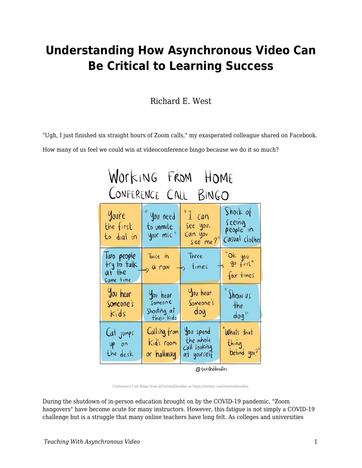### **Understanding How Asynchronous Video Can Be Critical to Learning Success**

Richard E. West

"Ugh, I just finished six straight hours of Zoom calls," my exasperated colleague shared on Facebook.

How many of us feel we could win at videoconference bingo because we do it so much?

| Working From HOME<br>CONFERENCE CALL BINGO       |                                                  |                                                            |                                                  |
|--------------------------------------------------|--------------------------------------------------|------------------------------------------------------------|--------------------------------------------------|
| Youre<br>the first<br>to dial in                 | " you need<br>to unmute<br>your mic"             | $^{\prime\prime}$ I can<br>See you,<br>Can you<br>see me?" | Show of<br>seeing<br>people in<br>Casual clothes |
| lwo people<br>try to talk<br>at the<br>Same time | Twice in<br>$> 0$ row                            | Three<br>$\rightarrow$ times                               | "Ok you<br>"90 first"<br>four times              |
| You hear<br>Someone's<br>Kids                    | You hear<br>Someone<br>Shouting at<br>their kids | You hear<br>Someone's<br>dog                               | "Show us<br>the<br>dog''                         |
| Cat jumps<br>$UP$ on<br>the desk                 | Calling from<br>Kid's room<br>or hallway         | You spend.<br>the whole<br>Call looking<br>at yourself     | Whats that<br>thing<br>behind you?"              |

@ twisteddoodles

Conference Call Bingo from @TwistedDoodles at https://twitter.com/twisteddoodles.

During the shutdown of in-person education brought on by the COVID-19 pandemic, "Zoom hangovers" have become acute for many instructors. However, this fatigue is not simply a COVID-19 challenge but is a struggle that many online teachers have long felt. As colleges and universities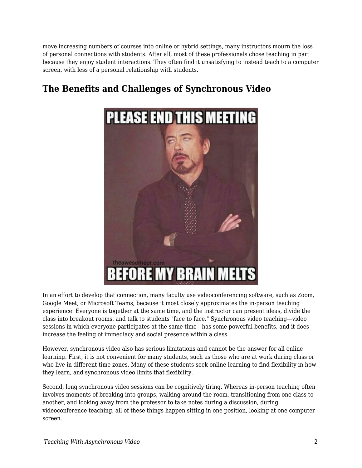move increasing numbers of courses into online or hybrid settings, many instructors mourn the loss of personal connections with students. After all, most of these professionals chose teaching in part because they enjoy student interactions. They often find it unsatisfying to instead teach to a computer screen, with less of a personal relationship with students.

# **PLEASE END THIS MEETING** theawesomept.com **EFORE MY BRAIN MELTS**

#### **The Benefits and Challenges of Synchronous Video**

In an effort to develop that connection, many faculty use videoconferencing software, such as Zoom, Google Meet, or Microsoft Teams, because it most closely approximates the in-person teaching experience. Everyone is together at the same time, and the instructor can present ideas, divide the class into breakout rooms, and talk to students "face to face." Synchronous video teaching—video sessions in which everyone participates at the same time—has some powerful benefits, and it does increase the feeling of immediacy and social presence within a class.

However, synchronous video also has serious limitations and cannot be the answer for all online learning. First, it is not convenient for many students, such as those who are at work during class or who live in different time zones. Many of these students seek online learning to find flexibility in how they learn, and synchronous video limits that flexibility.

Second, long synchronous video sessions can be cognitively tiring. Whereas in-person teaching often involves moments of breaking into groups, walking around the room, transitioning from one class to another, and looking away from the professor to take notes during a discussion, during videoconference teaching, all of these things happen sitting in one position, looking at one computer screen.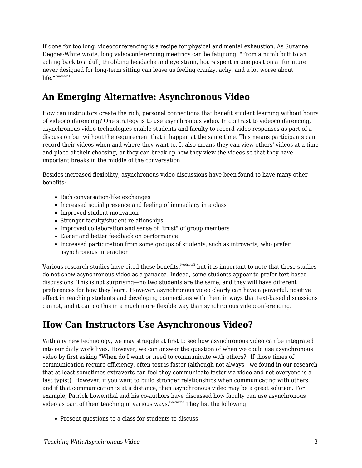If done for too long, videoconferencing is a recipe for physical and mental exhaustion. As Suzanne Degges-White wrote, long videoconferencing meetings can be fatiguing: "From a numb butt to an aching back to a dull, throbbing headache and eye strain, hours spent in one position at furniture never designed for long-term sitting can leave us feeling cranky, achy, and a lot worse about life."<sup>Footnote1</sup>

#### **An Emerging Alternative: Asynchronous Video**

How can instructors create the rich, personal connections that benefit student learning without hours of videoconferencing? One strategy is to use asynchronous video. In contrast to videoconferencing, asynchronous video technologies enable students and faculty to record video responses as part of a discussion but without the requirement that it happen at the same time. This means participants can record their videos when and where they want to. It also means they can view others' videos at a time and place of their choosing, or they can break up how they view the videos so that they have important breaks in the middle of the conversation.

Besides increased flexibility, asynchronous video discussions have been found to have many other benefits:

- Rich conversation-like exchanges
- Increased social presence and feeling of immediacy in a class
- Improved student motivation
- Stronger faculty/student relationships
- Improved collaboration and sense of "trust" of group members
- Easier and better feedback on performance
- Increased participation from some groups of students, such as introverts, who prefer asynchronous interaction

Various research studies have cited these benefits, Footnote2 but it is important to note that these studies do not show asynchronous video as a panacea. Indeed, some students appear to prefer text-based discussions. This is not surprising—no two students are the same, and they will have different preferences for how they learn. However, asynchronous video clearly can have a powerful, positive effect in reaching students and developing connections with them in ways that text-based discussions cannot, and it can do this in a much more flexible way than synchronous videoconferencing.

#### **How Can Instructors Use Asynchronous Video?**

With any new technology, we may struggle at first to see how asynchronous video can be integrated into our daily work lives. However, we can answer the question of when we could use asynchronous video by first asking "When do I want or need to communicate with others?" If those times of communication require efficiency, often text is faster (although not always—we found in our research that at least sometimes extraverts can feel they communicate faster via video and not everyone is a fast typist). However, if you want to build stronger relationships when communicating with others, and if that communication is at a distance, then asynchronous video may be a great solution. For example, Patrick Lowenthal and his co-authors have discussed how faculty can use asynchronous video as part of their teaching in various ways.<sup>Footnote3</sup> They list the following:

• Present questions to a class for students to discuss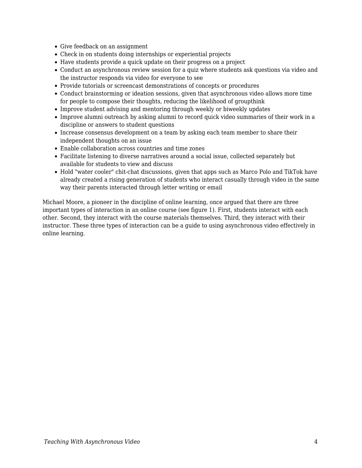- Give feedback on an assignment
- Check in on students doing internships or experiential projects
- Have students provide a quick update on their progress on a project
- Conduct an asynchronous review session for a quiz where students ask questions via video and the instructor responds via video for everyone to see
- Provide tutorials or screencast demonstrations of concepts or procedures
- Conduct brainstorming or ideation sessions, given that asynchronous video allows more time for people to compose their thoughts, reducing the likelihood of groupthink
- Improve student advising and mentoring through weekly or biweekly updates
- Improve alumni outreach by asking alumni to record quick video summaries of their work in a discipline or answers to student questions
- Increase consensus development on a team by asking each team member to share their independent thoughts on an issue
- Enable collaboration across countries and time zones
- Facilitate listening to diverse narratives around a social issue, collected separately but available for students to view and discuss
- Hold "water cooler" chit-chat discussions, given that apps such as Marco Polo and TikTok have already created a rising generation of students who interact casually through video in the same way their parents interacted through letter writing or email

Michael Moore, a pioneer in the discipline of online learning, once argued that there are three important types of interaction in an online course (see figure 1). First, students interact with each other. Second, they interact with the course materials themselves. Third, they interact with their instructor. These three types of interaction can be a guide to using asynchronous video effectively in online learning.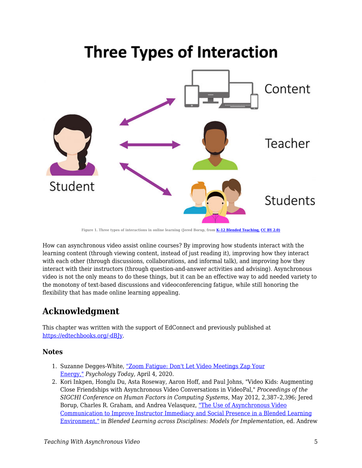## **Three Types of Interaction**



**Figure 1. Three types of interactions in online learning (Jered Borup, from [K–12 Blended Teaching,](https://edtechbooks.org/k12blended) [CC BY 2.0\)](https://creativecommons.org/licenses/by/2.0/)**

How can asynchronous video assist online courses? By improving how students interact with the learning content (through viewing content, instead of just reading it), improving how they interact with each other (through discussions, collaborations, and informal talk), and improving how they interact with their instructors (through question-and-answer activities and advising). Asynchronous video is not the only means to do these things, but it can be an effective way to add needed variety to the monotony of text-based discussions and videoconferencing fatigue, while still honoring the flexibility that has made online learning appealing.

#### **Acknowledgment**

This chapter was written with the support of EdConnect and previously published at [https://edtechbooks.org/-dBJy](https://er.educause.edu/blogs/2021/2/unbounded-by-time-understanding-how-asynchronous-video-can-be-critical-to-learning-success).

#### **Notes**

- 1. Suzanne Degges-White, ["Zoom Fatigue: Don't Let Video Meetings Zap Your](https://www.psychologytoday.com/us/blog/lifetime-connections/202004/zoom-fatigue-dont-let-video-meetings-zap-your-energy) [Energy,"](https://www.psychologytoday.com/us/blog/lifetime-connections/202004/zoom-fatigue-dont-let-video-meetings-zap-your-energy) *Psychology Today,* April 4, 2020.
- 2. Kori Inkpen, Honglu Du, Asta Roseway, Aaron Hoff, and Paul Johns, "Video Kids: Augmenting Close Friendships with Asynchronous Video Conversations in VideoPal," *Proceedings of the SIGCHI Conference on Human Factors in Computing Systems*, May 2012, 2,387–2,396; Jered Borup, Charles R. Graham, and Andrea Velasquez, ["The Use of Asynchronous Video](https://www.researchgate.net/publication/255568043_The_Use_of_Asynchronous_Video_Communication_to_Improve_Instructor_Immediacy_and_Social_Presence_in_a_Blended_Learning_Environment) [Communication to Improve Instructor Immediacy and Social Presence in a Blended Learning](https://www.researchgate.net/publication/255568043_The_Use_of_Asynchronous_Video_Communication_to_Improve_Instructor_Immediacy_and_Social_Presence_in_a_Blended_Learning_Environment) [Environment,"](https://www.researchgate.net/publication/255568043_The_Use_of_Asynchronous_Video_Communication_to_Improve_Instructor_Immediacy_and_Social_Presence_in_a_Blended_Learning_Environment) in *Blended Learning across Disciplines: Models for Implementation*, ed. Andrew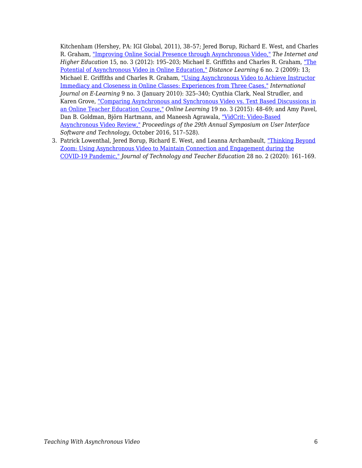Kitchenham (Hershey, PA: IGI Global, 2011), 38–57; Jered Borup, Richard E. West, and Charles R. Graham, ["Improving Online Social Presence through Asynchronous Video,"](https://www.sciencedirect.com/science/article/abs/pii/S109675161100073X) *The Internet and Higher Education* 15, no. 3 (2012): 195–203; Michael E. Griffiths and Charles R. Graham, ["The](https://www.researchgate.net/publication/242071788_The_potential_of_asynchronous_video_in_online_education) [Potential of Asynchronous Video in Online Education,"](https://www.researchgate.net/publication/242071788_The_potential_of_asynchronous_video_in_online_education) *Distance Learning* 6 no. 2 (2009): 13; Michael E. Griffiths and Charles R. Graham, ["Using Asynchronous Video to Achieve Instructor](https://www.researchgate.net/publication/255566987_Using_asynchronous_video_to_achieve_instructor_immediacy_and_closeness_in_online_classes_Experiences_from_three_cases) [Immediacy and Closeness in Online Classes: Experiences from Three Cases,"](https://www.researchgate.net/publication/255566987_Using_asynchronous_video_to_achieve_instructor_immediacy_and_closeness_in_online_classes_Experiences_from_three_cases) *International Journal on E-Learning* 9 no. 3 (January 2010): 325–340; Cynthia Clark, Neal Strudler, and Karen Grove, ["Comparing Asynchronous and Synchronous Video vs. Text Based Discussions in](https://eric.ed.gov/?id=EJ1067484) [an Online Teacher Education Course,"](https://eric.ed.gov/?id=EJ1067484) *Online Learning* 19 no. 3 (2015): 48–69; and Amy Pavel, Dan B. Goldman, Björn Hartmann, and Maneesh Agrawala, ["VidCrit: Video-Based](https://dl.acm.org/doi/10.1145/2984511.2984552) [Asynchronous Video Review,"](https://dl.acm.org/doi/10.1145/2984511.2984552) *Proceedings of the 29th Annual Symposium on User Interface Software and Technology*, October 2016, 517–528).

3. Patrick Lowenthal, Jered Borup, Richard E. West, and Leanna Archambault, ["Thinking Beyond](https://www.learntechlib.org/primary/p/216192/) [Zoom: Using Asynchronous Video to Maintain Connection and Engagement during the](https://www.learntechlib.org/primary/p/216192/) [COVID-19 Pandemic,"](https://www.learntechlib.org/primary/p/216192/) *Journal of Technology and Teacher Education* 28 no. 2 (2020): 161–169.